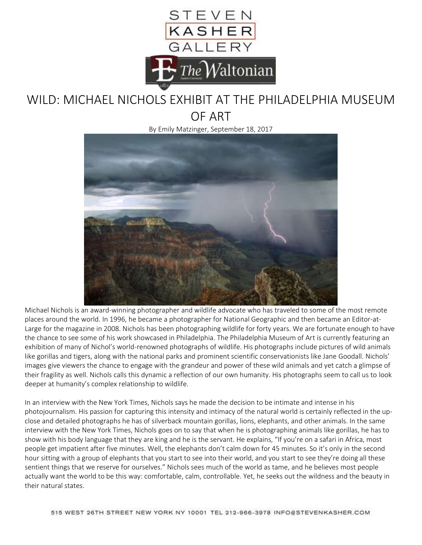

## WILD: MICHAEL NICHOLS EXHIBIT AT THE PHILADELPHIA MUSEUM OF ART

By Emily Matzinger, September 18, 2017



Michael Nichols is an award-winning photographer and wildlife advocate who has traveled to some of the most remote places around the world. In 1996, he became a photographer for National Geographic and then became an Editor-at-Large for the magazine in 2008. Nichols has been photographing wildlife for forty years. We are fortunate enough to have the chance to see some of his work showcased in Philadelphia. The Philadelphia Museum of Art is currently featuring an exhibition of many of Nichol's world-renowned photographs of wildlife. His photographs include pictures of wild animals like gorillas and tigers, along with the national parks and prominent scientific conservationists like Jane Goodall. Nichols' images give viewers the chance to engage with the grandeur and power of these wild animals and yet catch a glimpse of their fragility as well. Nichols calls this dynamic a reflection of our own humanity. His photographs seem to call us to look deeper at humanity's complex relationship to wildlife.

In an interview with the New York Times, Nichols says he made the decision to be intimate and intense in his photojournalism. His passion for capturing this intensity and intimacy of the natural world is certainly reflected in the upclose and detailed photographs he has of silverback mountain gorillas, lions, elephants, and other animals. In the same interview with the New York Times, Nichols goes on to say that when he is photographing animals like gorillas, he has to show with his body language that they are king and he is the servant. He explains, "If you're on a safari in Africa, most people get impatient after five minutes. Well, the elephants don't calm down for 45 minutes. So it's only in the second hour sitting with a group of elephants that you start to see into their world, and you start to see they're doing all these sentient things that we reserve for ourselves." Nichols sees much of the world as tame, and he believes most people actually want the world to be this way: comfortable, calm, controllable. Yet, he seeks out the wildness and the beauty in their natural states.